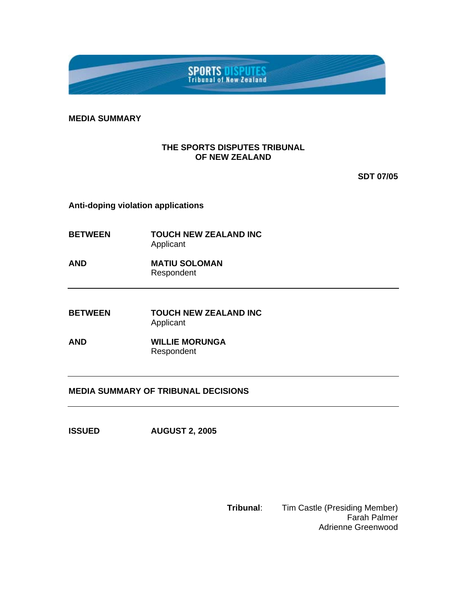

**MEDIA SUMMARY** 

## **THE SPORTS DISPUTES TRIBUNAL OF NEW ZEALAND**

**SDT 07/05** 

**Anti-doping violation applications** 

- **BETWEEN TOUCH NEW ZEALAND INC**  Applicant
- **AND MATIU SOLOMAN**  Respondent
- **BETWEEN TOUCH NEW ZEALAND INC** Applicant
- **AND WILLIE MORUNGA** Respondent

## **MEDIA SUMMARY OF TRIBUNAL DECISIONS**

**ISSUED AUGUST 2, 2005** 

**Tribunal**: Tim Castle (Presiding Member) Farah Palmer Adrienne Greenwood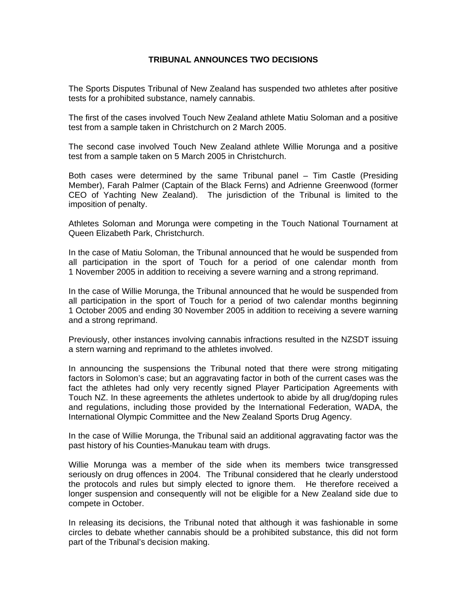## **TRIBUNAL ANNOUNCES TWO DECISIONS**

The Sports Disputes Tribunal of New Zealand has suspended two athletes after positive tests for a prohibited substance, namely cannabis.

The first of the cases involved Touch New Zealand athlete Matiu Soloman and a positive test from a sample taken in Christchurch on 2 March 2005.

The second case involved Touch New Zealand athlete Willie Morunga and a positive test from a sample taken on 5 March 2005 in Christchurch.

Both cases were determined by the same Tribunal panel – Tim Castle (Presiding Member), Farah Palmer (Captain of the Black Ferns) and Adrienne Greenwood (former CEO of Yachting New Zealand). The jurisdiction of the Tribunal is limited to the imposition of penalty.

Athletes Soloman and Morunga were competing in the Touch National Tournament at Queen Elizabeth Park, Christchurch.

In the case of Matiu Soloman, the Tribunal announced that he would be suspended from all participation in the sport of Touch for a period of one calendar month from 1 November 2005 in addition to receiving a severe warning and a strong reprimand.

In the case of Willie Morunga, the Tribunal announced that he would be suspended from all participation in the sport of Touch for a period of two calendar months beginning 1 October 2005 and ending 30 November 2005 in addition to receiving a severe warning and a strong reprimand.

Previously, other instances involving cannabis infractions resulted in the NZSDT issuing a stern warning and reprimand to the athletes involved.

In announcing the suspensions the Tribunal noted that there were strong mitigating factors in Solomon's case; but an aggravating factor in both of the current cases was the fact the athletes had only very recently signed Player Participation Agreements with Touch NZ. In these agreements the athletes undertook to abide by all drug/doping rules and regulations, including those provided by the International Federation, WADA, the International Olympic Committee and the New Zealand Sports Drug Agency.

In the case of Willie Morunga, the Tribunal said an additional aggravating factor was the past history of his Counties-Manukau team with drugs.

Willie Morunga was a member of the side when its members twice transgressed seriously on drug offences in 2004. The Tribunal considered that he clearly understood the protocols and rules but simply elected to ignore them. He therefore received a longer suspension and consequently will not be eligible for a New Zealand side due to compete in October.

In releasing its decisions, the Tribunal noted that although it was fashionable in some circles to debate whether cannabis should be a prohibited substance, this did not form part of the Tribunal's decision making.